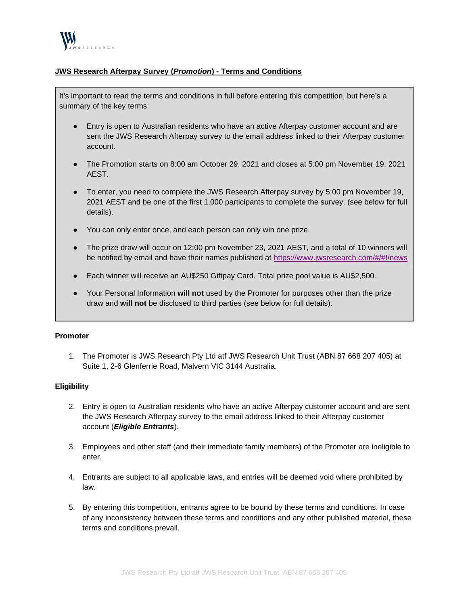

# **JWS Research Afterpay Survey (***Promotion***) - Terms and Conditions**

It's important to read the terms and conditions in full before entering this competition, but here's a summary of the key terms:

- Entry is open to Australian residents who have an active Afterpay customer account and are sent the JWS Research Afterpay survey to the email address linked to their Afterpay customer account.
- The Promotion starts on 8:00 am October 29, 2021 and closes at 5:00 pm November 19, 2021 AEST.
- To enter, you need to complete the JWS Research Afterpay survey by 5:00 pm November 19, 2021 AEST and be one of the first 1,000 participants to complete the survey. (see below for full details).
- You can only enter once, and each person can only win one prize.
- The prize draw will occur on 12:00 pm November 23, 2021 AEST, and a total of 10 winners will be notified by email and have their names published at <https://www.jwsresearch.com/#/#!/news>
- Each winner will receive an AU\$250 Giftpay Card. Total prize pool value is AU\$2,500.
- Your Personal Information **will not** used by the Promoter for purposes other than the prize draw and **will not** be disclosed to third parties (see below for full details).

### **Promoter**

1. The Promoter is JWS Research Pty Ltd atf JWS Research Unit Trust (ABN 87 668 207 405) at Suite 1, 2-6 Glenferrie Road, Malvern VIC 3144 Australia.

### **Eligibility**

- 2. Entry is open to Australian residents who have an active Afterpay customer account and are sent the JWS Research Afterpay survey to the email address linked to their Afterpay customer account (*Eligible Entrants*).
- 3. Employees and other staff (and their immediate family members) of the Promoter are ineligible to enter.
- 4. Entrants are subject to all applicable laws, and entries will be deemed void where prohibited by law.
- 5. By entering this competition, entrants agree to be bound by these terms and conditions. In case of any inconsistency between these terms and conditions and any other published material, these terms and conditions prevail.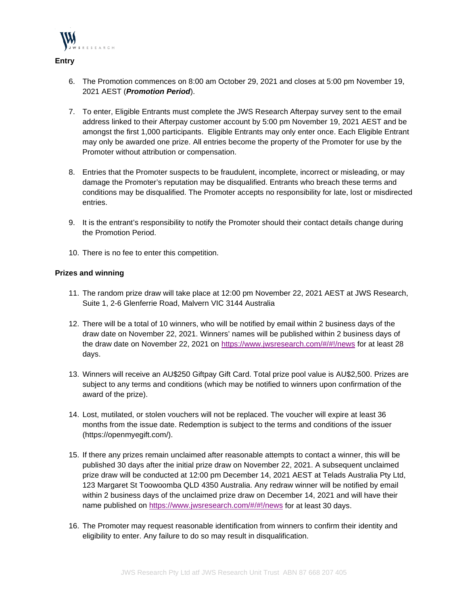

**Entry**

6. The Promotion commences on 8:00 am October 29, 2021 and closes at 5:00 pm November 19, 2021 AEST (*Promotion Period*).

- 7. To enter, Eligible Entrants must complete the JWS Research Afterpay survey sent to the email address linked to their Afterpay customer account by 5:00 pm November 19, 2021 AEST and be amongst the first 1,000 participants. Eligible Entrants may only enter once. Each Eligible Entrant may only be awarded one prize. All entries become the property of the Promoter for use by the Promoter without attribution or compensation.
- 8. Entries that the Promoter suspects to be fraudulent, incomplete, incorrect or misleading, or may damage the Promoter's reputation may be disqualified. Entrants who breach these terms and conditions may be disqualified. The Promoter accepts no responsibility for late, lost or misdirected entries.
- 9. It is the entrant's responsibility to notify the Promoter should their contact details change during the Promotion Period.
- 10. There is no fee to enter this competition.

## **Prizes and winning**

- 11. The random prize draw will take place at 12:00 pm November 22, 2021 AEST at JWS Research, Suite 1, 2-6 Glenferrie Road, Malvern VIC 3144 Australia
- 12. There will be a total of 10 winners, who will be notified by email within 2 business days of the draw date on November 22, 2021. Winners' names will be published within 2 business days of the draw date on November 22, 2021 on<https://www.jwsresearch.com/#/#!/news> for at least 28 days.
- 13. Winners will receive an AU\$250 Giftpay Gift Card. Total prize pool value is AU\$2,500. Prizes are subject to any terms and conditions (which may be notified to winners upon confirmation of the award of the prize).
- 14. Lost, mutilated, or stolen vouchers will not be replaced. The voucher will expire at least 36 months from the issue date. Redemption is subject to the terms and conditions of the issuer (https://openmyegift.com/).
- 15. If there any prizes remain unclaimed after reasonable attempts to contact a winner, this will be published 30 days after the initial prize draw on November 22, 2021. A subsequent unclaimed prize draw will be conducted at 12:00 pm December 14, 2021 AEST at Telads Australia Pty Ltd, 123 Margaret St Toowoomba QLD 4350 Australia. Any redraw winner will be notified by email within 2 business days of the unclaimed prize draw on December 14, 2021 and will have their name published on<https://www.jwsresearch.com/#/#!/news> for at least 30 days.
- 16. The Promoter may request reasonable identification from winners to confirm their identity and eligibility to enter. Any failure to do so may result in disqualification.